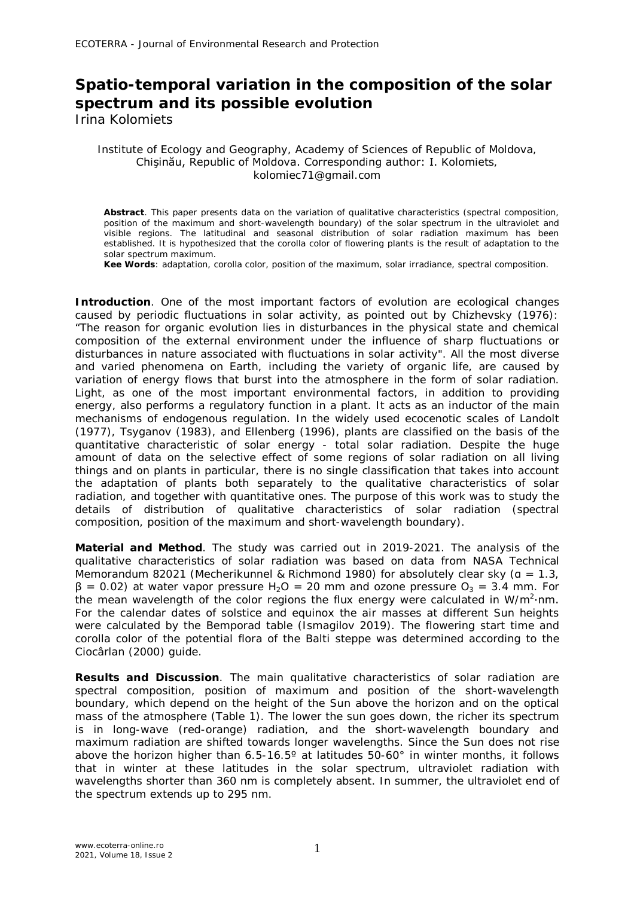## **Spatio-temporal variation in the composition of the solar spectrum and its possible evolution**

Irina Kolomiets

## Institute of Ecology and Geography, Academy of Sciences of Republic of Moldova, Chişinău, Republic of Moldova. Corresponding author: I. Kolomiets, kolomiec71@gmail.com

**Abstract**. This paper presents data on the variation of qualitative characteristics (spectral composition, position of the maximum and short-wavelength boundary) of the solar spectrum in the ultraviolet and visible regions. The latitudinal and seasonal distribution of solar radiation maximum has been established. It is hypothesized that the corolla color of flowering plants is the result of adaptation to the solar spectrum maximum.

**Kee Words**: adaptation, corolla color, position of the maximum, solar irradiance, spectral composition.

**Introduction**. One of the most important factors of evolution are ecological changes caused by periodic fluctuations in solar activity, as pointed out by Chizhevsky (1976): "The reason for organic evolution lies in disturbances in the physical state and chemical composition of the external environment under the influence of sharp fluctuations or disturbances in nature associated with fluctuations in solar activity". All the most diverse and varied phenomena on Earth, including the variety of organic life, are caused by variation of energy flows that burst into the atmosphere in the form of solar radiation. Light, as one of the most important environmental factors, in addition to providing energy, also performs a regulatory function in a plant. It acts as an inductor of the main mechanisms of endogenous regulation. In the widely used ecocenotic scales of Landolt (1977), Tsyganov (1983), and Ellenberg (1996), plants are classified on the basis of the quantitative characteristic of solar energy - total solar radiation. Despite the huge amount of data on the selective effect of some regions of solar radiation on all living things and on plants in particular, there is no single classification that takes into account the adaptation of plants both separately to the qualitative characteristics of solar radiation, and together with quantitative ones. The purpose of this work was to study the details of distribution of qualitative characteristics of solar radiation (spectral composition, position of the maximum and short-wavelength boundary).

**Material and Method**. The study was carried out in 2019-2021. The analysis of the qualitative characteristics of solar radiation was based on data from NASA Technical Memorandum 82021 (Mecherikunnel & Richmond 1980) for absolutely clear sky ( $a = 1.3$ ,  $β = 0.02$ ) at water vapor pressure H<sub>2</sub>O = 20 mm and ozone pressure O<sub>3</sub> = 3.4 mm. For the mean wavelength of the color regions the flux energy were calculated in W/m<sup>2</sup>·nm. For the calendar dates of solstice and equinox the air masses at different Sun heights were calculated by the Bemporad table (Ismagilov 2019). The flowering start time and corolla color of the potential flora of the Balti steppe was determined according to the Ciocârlan (2000) guide.

**Results and Discussion**. The main qualitative characteristics of solar radiation are spectral composition, position of maximum and position of the short-wavelength boundary, which depend on the height of the Sun above the horizon and on the optical mass of the atmosphere (Table 1). The lower the sun goes down, the richer its spectrum is in long-wave (red-orange) radiation, and the short-wavelength boundary and maximum radiation are shifted towards longer wavelengths. Since the Sun does not rise above the horizon higher than 6.5-16.5º at latitudes 50-60° in winter months, it follows that in winter at these latitudes in the solar spectrum, ultraviolet radiation with wavelengths shorter than 360 nm is completely absent. In summer, the ultraviolet end of the spectrum extends up to 295 nm.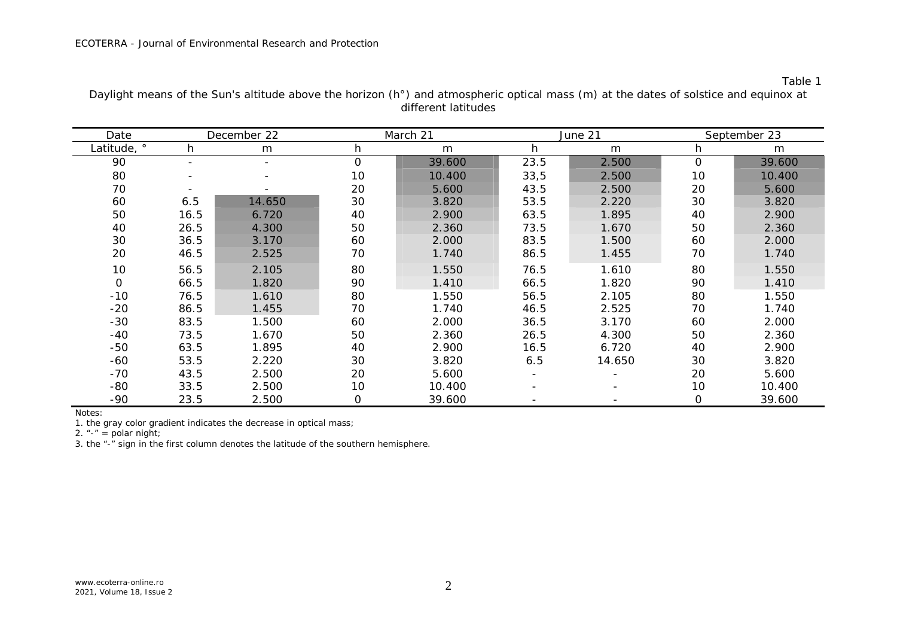Table 1

| Date        |      | December 22              |              | March 21 |      | June 21 | September 23   |        |  |
|-------------|------|--------------------------|--------------|----------|------|---------|----------------|--------|--|
| Latitude, ° | h    | m                        | h            | m        | h    | m       | h              | m      |  |
| 90          |      | $\overline{\phantom{a}}$ | $\mathbf{O}$ | 39.600   | 23.5 | 2.500   | $\overline{O}$ | 39.600 |  |
| 80          |      |                          | 10           | 10.400   | 33,5 | 2.500   | 10             | 10.400 |  |
| 70          |      |                          | 20           | 5.600    | 43.5 | 2.500   | 20             | 5.600  |  |
| 60          | 6.5  | 14.650                   | 30           | 3.820    | 53.5 | 2.220   | 30             | 3.820  |  |
| 50          | 16.5 | 6.720                    | 40           | 2.900    | 63.5 | 1.895   | 40             | 2.900  |  |
| 40          | 26.5 | 4.300                    | 50           | 2.360    | 73.5 | 1.670   | 50             | 2.360  |  |
| 30          | 36.5 | 3.170                    | 60           | 2.000    | 83.5 | 1.500   | 60             | 2.000  |  |
| 20          | 46.5 | 2.525                    | 70           | 1.740    | 86.5 | 1.455   | 70             | 1.740  |  |
| 10          | 56.5 | 2.105                    | 80           | 1.550    | 76.5 | 1.610   | 80             | 1.550  |  |
| 0           | 66.5 | 1.820                    | 90           | 1.410    | 66.5 | 1.820   | 90             | 1.410  |  |
| $-10$       | 76.5 | 1.610                    | 80           | 1.550    | 56.5 | 2.105   | 80             | 1.550  |  |
| $-20$       | 86.5 | 1.455                    | 70           | 1.740    | 46.5 | 2.525   | 70             | 1.740  |  |
| $-30$       | 83.5 | 1.500                    | 60           | 2.000    | 36.5 | 3.170   | 60             | 2.000  |  |
| $-40$       | 73.5 | 1.670                    | 50           | 2.360    | 26.5 | 4.300   | 50             | 2.360  |  |
| $-50$       | 63.5 | 1.895                    | 40           | 2.900    | 16.5 | 6.720   | 40             | 2.900  |  |
| $-60$       | 53.5 | 2.220                    | 30           | 3.820    | 6.5  | 14.650  | 30             | 3.820  |  |
| $-70$       | 43.5 | 2.500                    | 20           | 5.600    |      |         | 20             | 5.600  |  |
| $-80$       | 33.5 | 2.500                    | 10           | 10.400   |      |         | 10             | 10.400 |  |
| $-90$       | 23.5 | 2.500                    | 0            | 39.600   |      |         | $\mathsf O$    | 39.600 |  |

Daylight means of the Sun's altitude above the horizon (h°) and atmospheric optical mass (m) at the dates of solstice and equinox at different latitudes

Notes:

1. the gray color gradient indicates the decrease in optical mass;

2. "-" = polar night;

3. the "-" sign in the first column denotes the latitude of the southern hemisphere.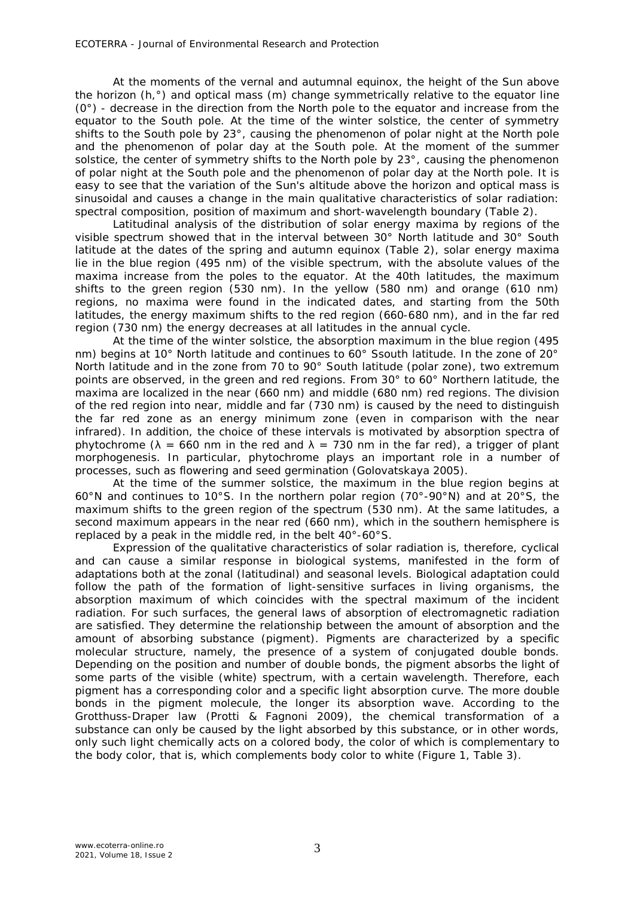At the moments of the vernal and autumnal equinox, the height of the Sun above the horizon (h,°) and optical mass (m) change symmetrically relative to the equator line  $(0^{\circ})$  - decrease in the direction from the North pole to the equator and increase from the equator to the South pole. At the time of the winter solstice, the center of symmetry shifts to the South pole by 23°, causing the phenomenon of polar night at the North pole and the phenomenon of polar day at the South pole. At the moment of the summer solstice, the center of symmetry shifts to the North pole by 23°, causing the phenomenon of polar night at the South pole and the phenomenon of polar day at the North pole. It is easy to see that the variation of the Sun's altitude above the horizon and optical mass is sinusoidal and causes a change in the main qualitative characteristics of solar radiation: spectral composition, position of maximum and short-wavelength boundary (Table 2).

Latitudinal analysis of the distribution of solar energy maxima by regions of the visible spectrum showed that in the interval between 30° North latitude and 30° South latitude at the dates of the spring and autumn equinox (Table 2), solar energy maxima lie in the blue region (495 nm) of the visible spectrum, with the absolute values of the maxima increase from the poles to the equator. At the 40th latitudes, the maximum shifts to the green region (530 nm). In the yellow (580 nm) and orange (610 nm) regions, no maxima were found in the indicated dates, and starting from the 50th latitudes, the energy maximum shifts to the red region (660-680 nm), and in the far red region (730 nm) the energy decreases at all latitudes in the annual cycle.

At the time of the winter solstice, the absorption maximum in the blue region (495 nm) begins at 10° North latitude and continues to 60° Ssouth latitude. In the zone of 20° North latitude and in the zone from 70 to 90° South latitude (polar zone), two extremum points are observed, in the green and red regions. From 30° to 60° Northern latitude, the maxima are localized in the *near* (660 nm) and *middle* (680 nm) red regions. The division of the red region into *near, middle* and *far* (730 nm) is caused by the need to distinguish the far red zone as an energy minimum zone (even in comparison with the near infrared). In addition, the choice of these intervals is motivated by absorption spectra of phytochrome ( $\lambda = 660$  nm in the red and  $\lambda = 730$  nm in the far red), a trigger of plant morphogenesis. In particular, phytochrome plays an important role in a number of processes, such as flowering and seed germination (Golovatskaya 2005).

At the time of the summer solstice, the maximum in the blue region begins at 60°N and continues to 10°S. In the northern polar region (70°-90°N) and at 20°S, the maximum shifts to the green region of the spectrum (530 nm). At the same latitudes, a second maximum appears in the near red (660 nm), which in the southern hemisphere is replaced by a peak in the middle red, in the belt 40°-60°S.

Expression of the qualitative characteristics of solar radiation is, therefore, cyclical and can cause a similar response in biological systems, manifested in the form of adaptations both at the zonal (latitudinal) and seasonal levels. Biological adaptation could follow the path of the formation of light-sensitive surfaces in living organisms, the absorption maximum of which coincides with the spectral maximum of the incident radiation. For such surfaces, the general laws of absorption of electromagnetic radiation are satisfied. They determine the relationship between the amount of absorption and the amount of absorbing substance (pigment). Pigments are characterized by a specific molecular structure, namely, the presence of a system of conjugated double bonds. Depending on the position and number of double bonds, the pigment absorbs the light of some parts of the visible (white) spectrum, with a certain wavelength. Therefore, each pigment has a corresponding color and a specific light absorption curve. The more double bonds in the pigment molecule, the longer its absorption wave. According to the Grotthuss-Draper law (Protti & Fagnoni 2009), the chemical transformation of a substance can only be caused by the light absorbed by this substance, or in other words, only such light chemically acts on a colored body, the color of which is complementary to the body color, that is, which complements body color to white (Figure 1, Table 3).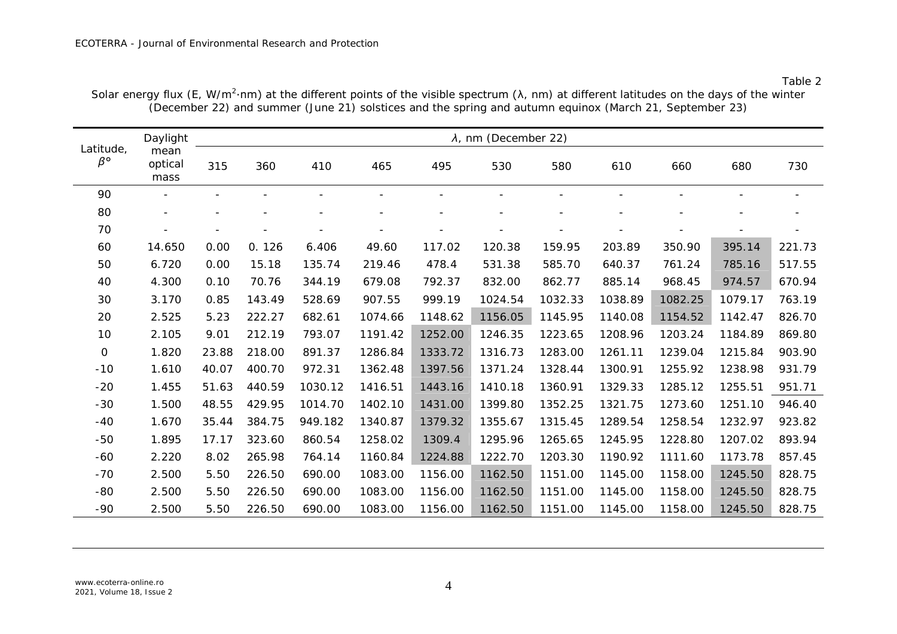|                              | Daylight                 | $\lambda$ , nm (December 22) |        |         |         |         |         |         |         |         |         |        |
|------------------------------|--------------------------|------------------------------|--------|---------|---------|---------|---------|---------|---------|---------|---------|--------|
| Latitude,<br>$\beta^{\circ}$ | mean<br>optical<br>mass  | 315                          | 360    | 410     | 465     | 495     | 530     | 580     | 610     | 660     | 680     | 730    |
| 90                           |                          |                              |        |         |         |         |         |         |         |         |         |        |
| 80                           | $\overline{\phantom{a}}$ |                              |        |         |         |         |         |         |         |         |         |        |
| 70                           |                          |                              |        |         |         |         |         |         |         |         |         |        |
| 60                           | 14.650                   | 0.00                         | 0.126  | 6.406   | 49.60   | 117.02  | 120.38  | 159.95  | 203.89  | 350.90  | 395.14  | 221.73 |
| 50                           | 6.720                    | 0.00                         | 15.18  | 135.74  | 219.46  | 478.4   | 531.38  | 585.70  | 640.37  | 761.24  | 785.16  | 517.55 |
| 40                           | 4.300                    | 0.10                         | 70.76  | 344.19  | 679.08  | 792.37  | 832.00  | 862.77  | 885.14  | 968.45  | 974.57  | 670.94 |
| 30                           | 3.170                    | 0.85                         | 143.49 | 528.69  | 907.55  | 999.19  | 1024.54 | 1032.33 | 1038.89 | 1082.25 | 1079.17 | 763.19 |
| 20                           | 2.525                    | 5.23                         | 222.27 | 682.61  | 1074.66 | 1148.62 | 1156.05 | 1145.95 | 1140.08 | 1154.52 | 1142.47 | 826.70 |
| 10                           | 2.105                    | 9.01                         | 212.19 | 793.07  | 1191.42 | 1252.00 | 1246.35 | 1223.65 | 1208.96 | 1203.24 | 1184.89 | 869.80 |
| $\mbox{O}$                   | 1.820                    | 23.88                        | 218.00 | 891.37  | 1286.84 | 1333.72 | 1316.73 | 1283.00 | 1261.11 | 1239.04 | 1215.84 | 903.90 |
| $-10$                        | 1.610                    | 40.07                        | 400.70 | 972.31  | 1362.48 | 1397.56 | 1371.24 | 1328.44 | 1300.91 | 1255.92 | 1238.98 | 931.79 |
| $-20$                        | 1.455                    | 51.63                        | 440.59 | 1030.12 | 1416.51 | 1443.16 | 1410.18 | 1360.91 | 1329.33 | 1285.12 | 1255.51 | 951.71 |
| $-30$                        | 1.500                    | 48.55                        | 429.95 | 1014.70 | 1402.10 | 1431.00 | 1399.80 | 1352.25 | 1321.75 | 1273.60 | 1251.10 | 946.40 |
| $-40$                        | 1.670                    | 35.44                        | 384.75 | 949.182 | 1340.87 | 1379.32 | 1355.67 | 1315.45 | 1289.54 | 1258.54 | 1232.97 | 923.82 |
| $-50$                        | 1.895                    | 17.17                        | 323.60 | 860.54  | 1258.02 | 1309.4  | 1295.96 | 1265.65 | 1245.95 | 1228.80 | 1207.02 | 893.94 |
| $-60$                        | 2.220                    | 8.02                         | 265.98 | 764.14  | 1160.84 | 1224.88 | 1222.70 | 1203.30 | 1190.92 | 1111.60 | 1173.78 | 857.45 |
| $-70$                        | 2.500                    | 5.50                         | 226.50 | 690.00  | 1083.00 | 1156.00 | 1162.50 | 1151.00 | 1145.00 | 1158.00 | 1245.50 | 828.75 |
| $-80$                        | 2.500                    | 5.50                         | 226.50 | 690.00  | 1083.00 | 1156.00 | 1162.50 | 1151.00 | 1145.00 | 1158.00 | 1245.50 | 828.75 |
| $-90$                        | 2.500                    | 5.50                         | 226.50 | 690.00  | 1083.00 | 1156.00 | 1162.50 | 1151.00 | 1145.00 | 1158.00 | 1245.50 | 828.75 |

Solar energy flux (E, W/m<sup>2</sup>·nm) at the different points of the visible spectrum ( $\lambda$ , nm) at different latitudes on the days of the winter (December 22) and summer (June 21) solstices and the spring and autumn equinox (March 21, September 23)

Table 2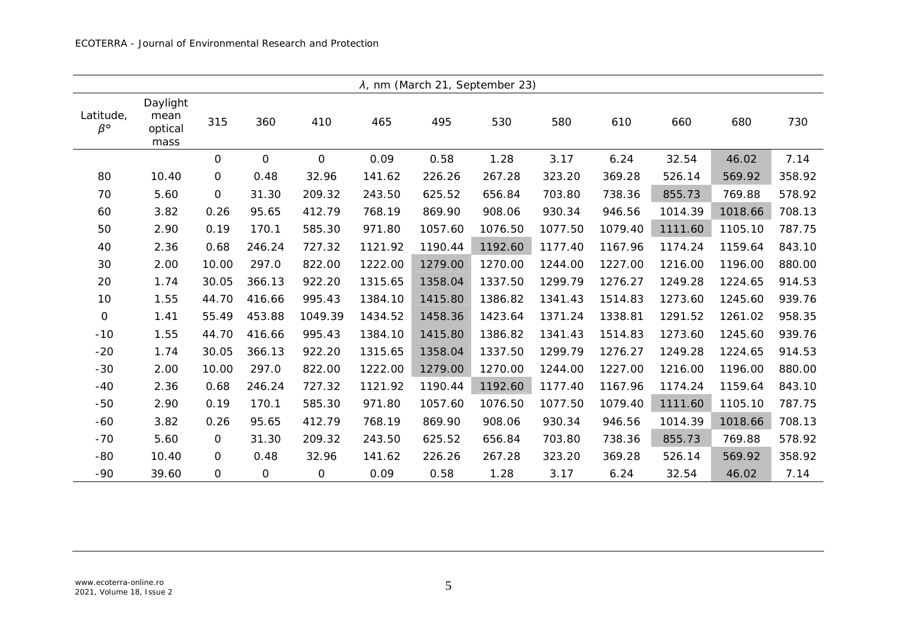| $\lambda$ , nm (March 21, September 23) |                                     |                |             |              |         |         |         |         |         |         |         |        |
|-----------------------------------------|-------------------------------------|----------------|-------------|--------------|---------|---------|---------|---------|---------|---------|---------|--------|
| Latitude,<br>$\beta^{\circ}$            | Daylight<br>mean<br>optical<br>mass | 315            | 360         | 410          | 465     | 495     | 530     | 580     | 610     | 660     | 680     | 730    |
|                                         |                                     | $\mathbf 0$    | $\mathbf 0$ | $\mathbf{O}$ | 0.09    | 0.58    | 1.28    | 3.17    | 6.24    | 32.54   | 46.02   | 7.14   |
| 80                                      | 10.40                               | $\mathbf 0$    | 0.48        | 32.96        | 141.62  | 226.26  | 267.28  | 323.20  | 369.28  | 526.14  | 569.92  | 358.92 |
| 70                                      | 5.60                                | $\mathbf 0$    | 31.30       | 209.32       | 243.50  | 625.52  | 656.84  | 703.80  | 738.36  | 855.73  | 769.88  | 578.92 |
| 60                                      | 3.82                                | 0.26           | 95.65       | 412.79       | 768.19  | 869.90  | 908.06  | 930.34  | 946.56  | 1014.39 | 1018.66 | 708.13 |
| 50                                      | 2.90                                | 0.19           | 170.1       | 585.30       | 971.80  | 1057.60 | 1076.50 | 1077.50 | 1079.40 | 1111.60 | 1105.10 | 787.75 |
| 40                                      | 2.36                                | 0.68           | 246.24      | 727.32       | 1121.92 | 1190.44 | 1192.60 | 1177.40 | 1167.96 | 1174.24 | 1159.64 | 843.10 |
| 30                                      | 2.00                                | 10.00          | 297.0       | 822.00       | 1222.00 | 1279.00 | 1270.00 | 1244.00 | 1227.00 | 1216.00 | 1196.00 | 880.00 |
| 20                                      | 1.74                                | 30.05          | 366.13      | 922.20       | 1315.65 | 1358.04 | 1337.50 | 1299.79 | 1276.27 | 1249.28 | 1224.65 | 914.53 |
| 10                                      | 1.55                                | 44.70          | 416.66      | 995.43       | 1384.10 | 1415.80 | 1386.82 | 1341.43 | 1514.83 | 1273.60 | 1245.60 | 939.76 |
| $\mbox{O}$                              | 1.41                                | 55.49          | 453.88      | 1049.39      | 1434.52 | 1458.36 | 1423.64 | 1371.24 | 1338.81 | 1291.52 | 1261.02 | 958.35 |
| $-10$                                   | 1.55                                | 44.70          | 416.66      | 995.43       | 1384.10 | 1415.80 | 1386.82 | 1341.43 | 1514.83 | 1273.60 | 1245.60 | 939.76 |
| $-20$                                   | 1.74                                | 30.05          | 366.13      | 922.20       | 1315.65 | 1358.04 | 1337.50 | 1299.79 | 1276.27 | 1249.28 | 1224.65 | 914.53 |
| $-30$                                   | 2.00                                | 10.00          | 297.0       | 822.00       | 1222.00 | 1279.00 | 1270.00 | 1244.00 | 1227.00 | 1216.00 | 1196.00 | 880.00 |
| $-40$                                   | 2.36                                | 0.68           | 246.24      | 727.32       | 1121.92 | 1190.44 | 1192.60 | 1177.40 | 1167.96 | 1174.24 | 1159.64 | 843.10 |
| $-50$                                   | 2.90                                | 0.19           | 170.1       | 585.30       | 971.80  | 1057.60 | 1076.50 | 1077.50 | 1079.40 | 1111.60 | 1105.10 | 787.75 |
| $-60$                                   | 3.82                                | 0.26           | 95.65       | 412.79       | 768.19  | 869.90  | 908.06  | 930.34  | 946.56  | 1014.39 | 1018.66 | 708.13 |
| $-70$                                   | 5.60                                | $\mathbf 0$    | 31.30       | 209.32       | 243.50  | 625.52  | 656.84  | 703.80  | 738.36  | 855.73  | 769.88  | 578.92 |
| $-80$                                   | 10.40                               | $\mathbf 0$    | 0.48        | 32.96        | 141.62  | 226.26  | 267.28  | 323.20  | 369.28  | 526.14  | 569.92  | 358.92 |
| $-90$                                   | 39.60                               | $\overline{O}$ | 0           | 0            | 0.09    | 0.58    | 1.28    | 3.17    | 6.24    | 32.54   | 46.02   | 7.14   |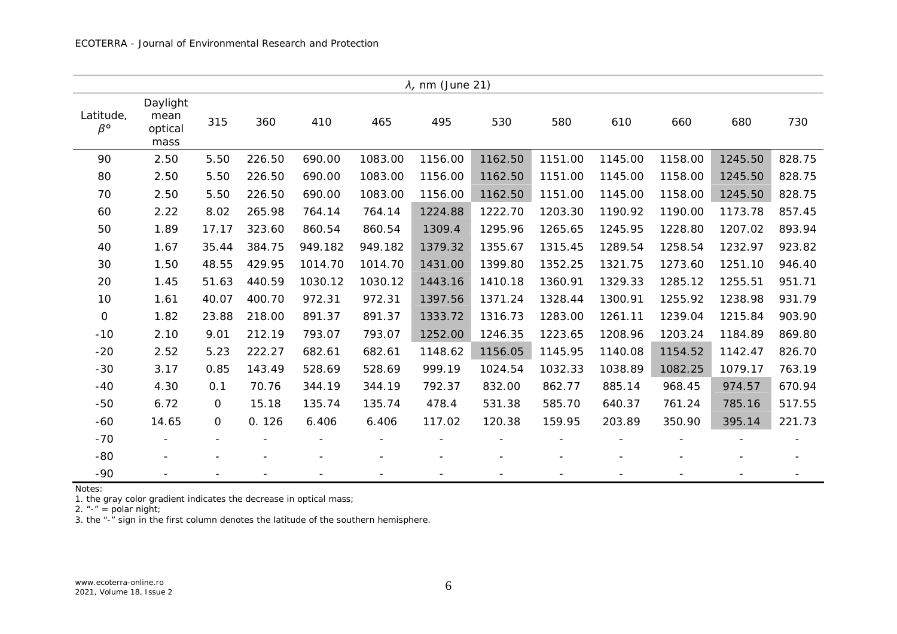| $\lambda$ , nm (June 21)     |                                     |             |        |                          |                          |         |         |                          |         |         |         |        |
|------------------------------|-------------------------------------|-------------|--------|--------------------------|--------------------------|---------|---------|--------------------------|---------|---------|---------|--------|
| Latitude,<br>$\beta^{\circ}$ | Daylight<br>mean<br>optical<br>mass | 315         | 360    | 410                      | 465                      | 495     | 530     | 580                      | 610     | 660     | 680     | 730    |
| 90                           | 2.50                                | 5.50        | 226.50 | 690.00                   | 1083.00                  | 1156.00 | 1162.50 | 1151.00                  | 1145.00 | 1158.00 | 1245.50 | 828.75 |
| 80                           | 2.50                                | 5.50        | 226.50 | 690.00                   | 1083.00                  | 1156.00 | 1162.50 | 1151.00                  | 1145.00 | 1158.00 | 1245.50 | 828.75 |
| 70                           | 2.50                                | 5.50        | 226.50 | 690.00                   | 1083.00                  | 1156.00 | 1162.50 | 1151.00                  | 1145.00 | 1158.00 | 1245.50 | 828.75 |
| 60                           | 2.22                                | 8.02        | 265.98 | 764.14                   | 764.14                   | 1224.88 | 1222.70 | 1203.30                  | 1190.92 | 1190.00 | 1173.78 | 857.45 |
| 50                           | 1.89                                | 17.17       | 323.60 | 860.54                   | 860.54                   | 1309.4  | 1295.96 | 1265.65                  | 1245.95 | 1228.80 | 1207.02 | 893.94 |
| 40                           | 1.67                                | 35.44       | 384.75 | 949.182                  | 949.182                  | 1379.32 | 1355.67 | 1315.45                  | 1289.54 | 1258.54 | 1232.97 | 923.82 |
| 30                           | 1.50                                | 48.55       | 429.95 | 1014.70                  | 1014.70                  | 1431.00 | 1399.80 | 1352.25                  | 1321.75 | 1273.60 | 1251.10 | 946.40 |
| 20                           | 1.45                                | 51.63       | 440.59 | 1030.12                  | 1030.12                  | 1443.16 | 1410.18 | 1360.91                  | 1329.33 | 1285.12 | 1255.51 | 951.71 |
| 10                           | 1.61                                | 40.07       | 400.70 | 972.31                   | 972.31                   | 1397.56 | 1371.24 | 1328.44                  | 1300.91 | 1255.92 | 1238.98 | 931.79 |
| $\mathbf 0$                  | 1.82                                | 23.88       | 218.00 | 891.37                   | 891.37                   | 1333.72 | 1316.73 | 1283.00                  | 1261.11 | 1239.04 | 1215.84 | 903.90 |
| $-10$                        | 2.10                                | 9.01        | 212.19 | 793.07                   | 793.07                   | 1252.00 | 1246.35 | 1223.65                  | 1208.96 | 1203.24 | 1184.89 | 869.80 |
| $-20$                        | 2.52                                | 5.23        | 222.27 | 682.61                   | 682.61                   | 1148.62 | 1156.05 | 1145.95                  | 1140.08 | 1154.52 | 1142.47 | 826.70 |
| $-30$                        | 3.17                                | 0.85        | 143.49 | 528.69                   | 528.69                   | 999.19  | 1024.54 | 1032.33                  | 1038.89 | 1082.25 | 1079.17 | 763.19 |
| $-40$                        | 4.30                                | 0.1         | 70.76  | 344.19                   | 344.19                   | 792.37  | 832.00  | 862.77                   | 885.14  | 968.45  | 974.57  | 670.94 |
| $-50$                        | 6.72                                | 0           | 15.18  | 135.74                   | 135.74                   | 478.4   | 531.38  | 585.70                   | 640.37  | 761.24  | 785.16  | 517.55 |
| $-60$                        | 14.65                               | $\mathbf 0$ | 0.126  | 6.406                    | 6.406                    | 117.02  | 120.38  | 159.95                   | 203.89  | 350.90  | 395.14  | 221.73 |
| $-70$                        |                                     |             |        |                          |                          |         |         |                          |         |         |         |        |
| $-80$                        |                                     |             |        | $\overline{\phantom{a}}$ | $\overline{\phantom{a}}$ |         |         | $\overline{\phantom{a}}$ |         |         |         |        |
| $-90$                        |                                     |             |        |                          |                          |         |         |                          |         |         |         |        |

Notes:

1. the gray color gradient indicates the decrease in optical mass;

2. "-" = polar night;

3. the "-" sign in the first column denotes the latitude of the southern hemisphere.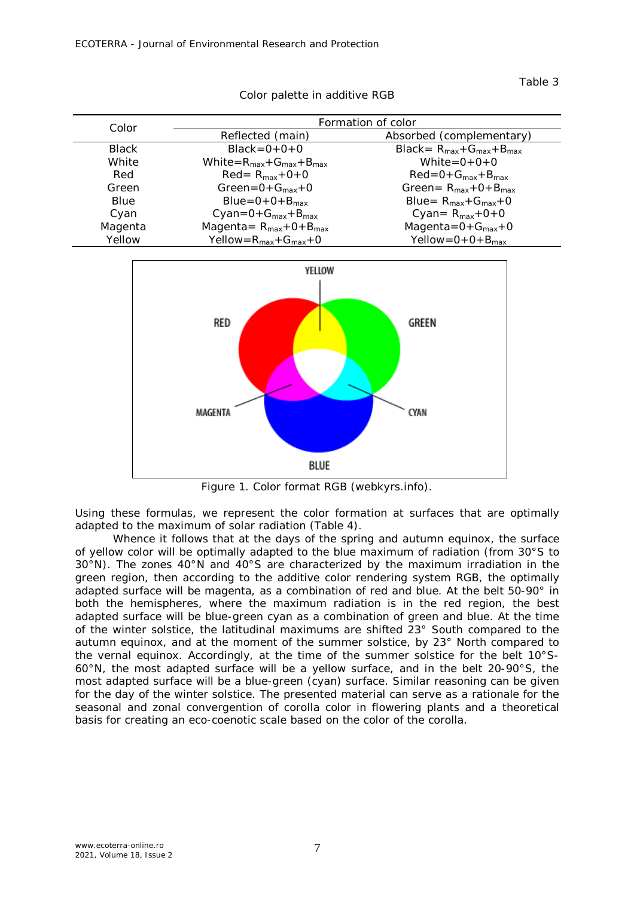Table 3

| Color        | Formation of color                       |                                       |  |  |  |  |  |
|--------------|------------------------------------------|---------------------------------------|--|--|--|--|--|
|              | Reflected (main)                         | Absorbed (complementary)              |  |  |  |  |  |
| <b>Black</b> | $Black = 0 + 0 + 0$                      | $Black = R_{max} + G_{max} + B_{max}$ |  |  |  |  |  |
| White        | White= $R_{max}$ + $G_{max}$ + $B_{max}$ | White= $0+0+0$                        |  |  |  |  |  |
| Red          | $Red = R_{max} + O + O$                  | $Red=0+G_{max}+B_{max}$               |  |  |  |  |  |
| Green        | Green= $0+G_{max}+0$                     | Green = $R_{max}$ + 0 + $B_{max}$     |  |  |  |  |  |
| Blue         | $Blue=0+0+B_{max}$                       | Blue= $R_{max}$ + $G_{max}$ +0        |  |  |  |  |  |
| Cyan         | $Cyan=0+G_{max}+B_{max}$                 | Cyan= $R_{max}$ +0+0                  |  |  |  |  |  |
| Magenta      | Magenta = $R_{max}$ + 0 + $B_{max}$      | Magenta= $0+G_{max}+0$                |  |  |  |  |  |
| Yellow       | Yellow= $R_{max}$ + $G_{max}$ + $O$      | Yellow= $0+0+B_{max}$                 |  |  |  |  |  |





Figure 1. Color format RGB (webkyrs.info).

Using these formulas, we represent the color formation at surfaces that are optimally adapted to the maximum of solar radiation (Table 4).

Whence it follows that at the days of the spring and autumn equinox, the surface of yellow color will be optimally adapted to the blue maximum of radiation (from 30°S to 30°N). The zones 40°N and 40°S are characterized by the maximum irradiation in the green region, then according to the additive color rendering system RGB, the optimally adapted surface will be magenta, as a combination of red and blue. At the belt 50-90° in both the hemispheres, where the maximum radiation is in the red region, the best adapted surface will be blue-green cyan as a combination of green and blue. At the time of the winter solstice, the latitudinal maximums are shifted 23° South compared to the autumn equinox, and at the moment of the summer solstice, by 23° North compared to the vernal equinox. Accordingly, at the time of the summer solstice for the belt 10°S-60°N, the most adapted surface will be a yellow surface, and in the belt 20-90°S, the most adapted surface will be a blue-green (cyan) surface. Similar reasoning can be given for the day of the winter solstice. The presented material can serve as a rationale for the seasonal and zonal convergention of corolla color in flowering plants and a theoretical basis for creating an eco-coenotic scale based on the color of the corolla.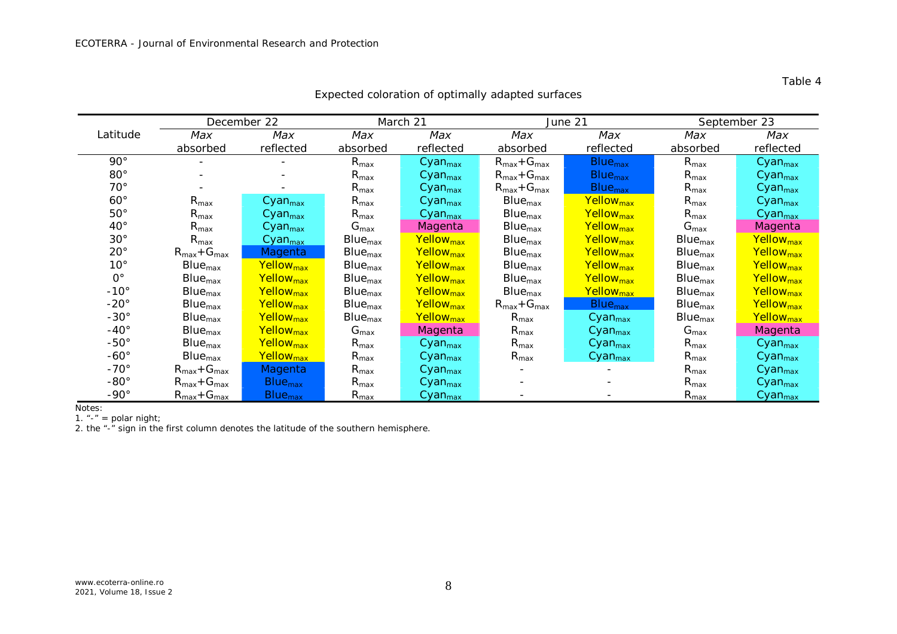|               |                                   | December 22               |                  | March 21              |                                   | June 21                   | September 23     |                       |  |
|---------------|-----------------------------------|---------------------------|------------------|-----------------------|-----------------------------------|---------------------------|------------------|-----------------------|--|
| Latitude      | Max                               | Max                       | Max              | Max                   | Max                               | Max                       | Max              | Max                   |  |
|               | absorbed                          | reflected                 | absorbed         | reflected             | absorbed                          | reflected                 | absorbed         | reflected             |  |
| $90^{\circ}$  | $\overline{\phantom{a}}$          | $\overline{\phantom{0}}$  | $R_{\text{max}}$ | Cyan <sub>max</sub>   | $R_{max}$ + $G_{max}$             | <b>Blue<sub>max</sub></b> | $R_{\text{max}}$ | Cyan <sub>max</sub>   |  |
| $80^{\circ}$  | $\overline{\phantom{a}}$          |                           | $R_{\text{max}}$ | Cyan <sub>max</sub>   | $R_{max}$ + $G_{max}$             | <b>Blue<sub>max</sub></b> | $R_{\text{max}}$ | Cyan <sub>max</sub>   |  |
| $70^{\circ}$  |                                   |                           | $R_{\text{max}}$ | Cyan <sub>max</sub>   | $R_{max}$ + $G_{max}$             | <b>Blue<sub>max</sub></b> | $R_{\text{max}}$ | Cyan <sub>max</sub>   |  |
| $60^\circ$    | $R_{\text{max}}$                  | Cyan <sub>max</sub>       | $R_{\text{max}}$ | Cyan <sub>max</sub>   | $Blue_{max}$                      | Yellow <sub>max</sub>     | $R_{\text{max}}$ | Cyan <sub>max</sub>   |  |
| $50^{\circ}$  | $R_{\text{max}}$                  | Cyan <sub>max</sub>       | $R_{\text{max}}$ | Cyan <sub>max</sub>   | $Blue_{max}$                      | Yellow <sub>max</sub>     | $R_{\text{max}}$ | Cyan <sub>max</sub>   |  |
| $40^{\circ}$  | $R_{\text{max}}$                  | Cyan <sub>max</sub>       | $G_{\text{max}}$ | Magenta               | $Blue_{max}$                      | Yellow <sub>max</sub>     | $G_{\text{max}}$ | <b>Magenta</b>        |  |
| $30^{\circ}$  | $R_{\text{max}}$                  | Cyan <sub>max</sub>       | $Blue_{max}$     | Yellow <sub>max</sub> | $Blue_{max}$                      | Yellow <sub>max</sub>     | $Blue_{max}$     | Yellow <sub>max</sub> |  |
| $20^{\circ}$  | $R_{max}$ + $G_{max}$             | Magenta                   | $Blue_{max}$     | Yellow <sub>max</sub> | $Blue_{max}$                      | Yellow <sub>max</sub>     | $Blue_{max}$     | Yellow <sub>max</sub> |  |
| $10^{\circ}$  | $Blue_{max}$                      | Yellow <sub>max</sub>     | $Blue_{max}$     | Yellow <sub>max</sub> | $Blue_{max}$                      | Yellow <sub>max</sub>     | $Blue_{max}$     | Yellow <sub>max</sub> |  |
| $O^{\circ}$   | $Blue_{max}$                      | Yellow <sub>max</sub>     | $Blue_{max}$     | Yellow <sub>max</sub> | $Blue_{max}$                      | Yellow <sub>max</sub>     | $Blue_{max}$     | Yellow <sub>max</sub> |  |
| $-10^{\circ}$ | $Blue_{max}$                      | Yellow <sub>max</sub>     | $Blue_{max}$     | Yellow <sub>max</sub> | $Blue_{max}$                      | Yellow <sub>max</sub>     | $Blue_{max}$     | Yellow <sub>max</sub> |  |
| $-20^\circ$   | $Blue_{max}$                      | Yellow <sub>max</sub>     | $Blue_{max}$     | Yellow <sub>max</sub> | $R_{\text{max}} + G_{\text{max}}$ | <b>Blue<sub>max</sub></b> | $Blue_{max}$     | Yellow <sub>max</sub> |  |
| $-30^{\circ}$ | $Blue_{max}$                      | Yellow <sub>max</sub>     | $Blue_{max}$     | Yellow <sub>max</sub> | $R_{\text{max}}$                  | Cyan <sub>max</sub>       | $Blue_{max}$     | Yellow <sub>max</sub> |  |
| $-40^{\circ}$ | $Blue_{max}$                      | Yellow <sub>max</sub>     | $G_{\text{max}}$ | Magenta               | $R_{\text{max}}$                  | Cyan <sub>max</sub>       | $G_{\text{max}}$ | Magenta               |  |
| $-50^\circ$   | $Blue_{max}$                      | Yellow <sub>max</sub>     | $R_{\text{max}}$ | Cyan <sub>max</sub>   | $R_{\text{max}}$                  | Cyan <sub>max</sub>       | $R_{\text{max}}$ | Cyan <sub>max</sub>   |  |
| $-60^\circ$   | $Blue_{max}$                      | Yellow <sub>max</sub>     | $R_{\text{max}}$ | Cyan <sub>max</sub>   | $R_{\text{max}}$                  | Cyan <sub>max</sub>       | $R_{\text{max}}$ | Cyan <sub>max</sub>   |  |
| $-70^\circ$   | $R_{max}$ + $G_{max}$             | <b>Magenta</b>            | $R_{\text{max}}$ | Cyan <sub>max</sub>   |                                   |                           | $R_{\text{max}}$ | Cyan <sub>max</sub>   |  |
| $-80^\circ$   | $R_{max}$ + $G_{max}$             | <b>Blue<sub>max</sub></b> | $R_{\text{max}}$ | Cyan <sub>max</sub>   |                                   |                           | $R_{\text{max}}$ | Cyan <sub>max</sub>   |  |
| $-90^\circ$   | $R_{\text{max}} + G_{\text{max}}$ | <b>Blue<sub>max</sub></b> | $R_{\text{max}}$ | Cyan <sub>max</sub>   |                                   |                           | $R_{\text{max}}$ | Cyan <sub>max</sub>   |  |

Expected coloration of optimally adapted surfaces

Notes:

1. "-" = polar night;

2. the "-" sign in the first column denotes the latitude of the southern hemisphere.